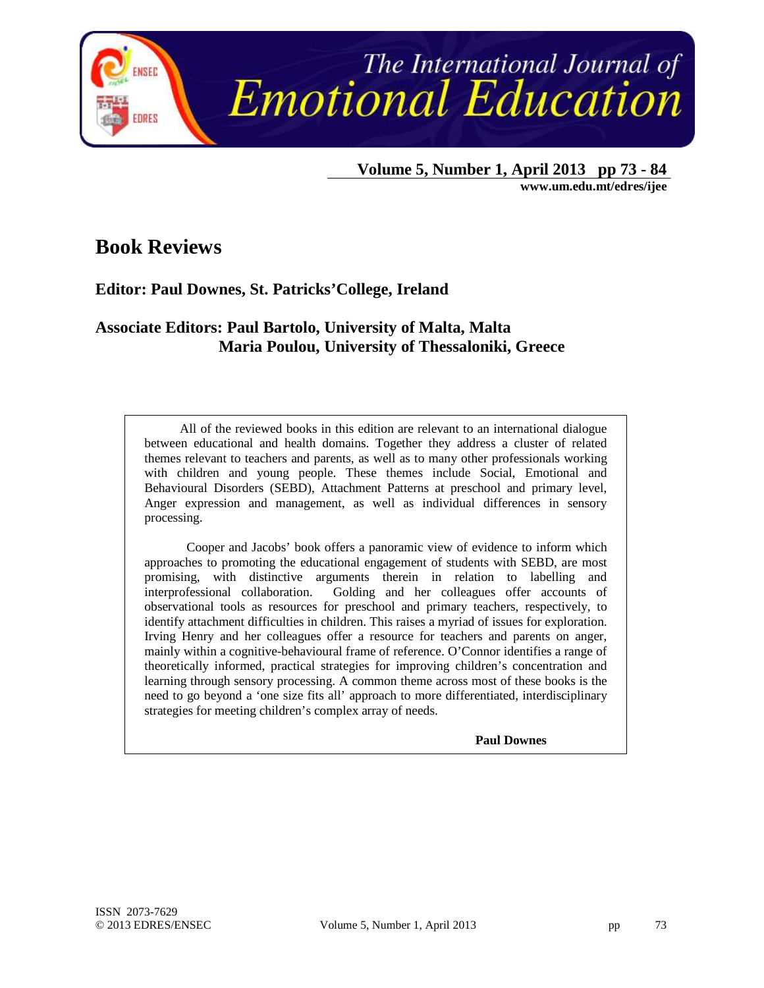

 **Volume 5, Number 1, April 2013 pp 73 - 84** 

**www.um.edu.mt/edres/ijee** 

## **Book Reviews**

### **Editor: Paul Downes, St. Patricks'College, Ireland**

### **Associate Editors: Paul Bartolo, University of Malta, Malta Maria Poulou, University of Thessaloniki, Greece**

All of the reviewed books in this edition are relevant to an international dialogue between educational and health domains. Together they address a cluster of related themes relevant to teachers and parents, as well as to many other professionals working with children and young people. These themes include Social, Emotional and Behavioural Disorders (SEBD), Attachment Patterns at preschool and primary level, Anger expression and management, as well as individual differences in sensory processing.

Cooper and Jacobs' book offers a panoramic view of evidence to inform which approaches to promoting the educational engagement of students with SEBD, are most promising, with distinctive arguments therein in relation to labelling and interprofessional collaboration. Golding and her colleagues offer accounts of observational tools as resources for preschool and primary teachers, respectively, to identify attachment difficulties in children. This raises a myriad of issues for exploration. Irving Henry and her colleagues offer a resource for teachers and parents on anger, mainly within a cognitive-behavioural frame of reference. O'Connor identifies a range of theoretically informed, practical strategies for improving children's concentration and learning through sensory processing. A common theme across most of these books is the need to go beyond a 'one size fits all' approach to more differentiated, interdisciplinary strategies for meeting children's complex array of needs.

**Paul Downes**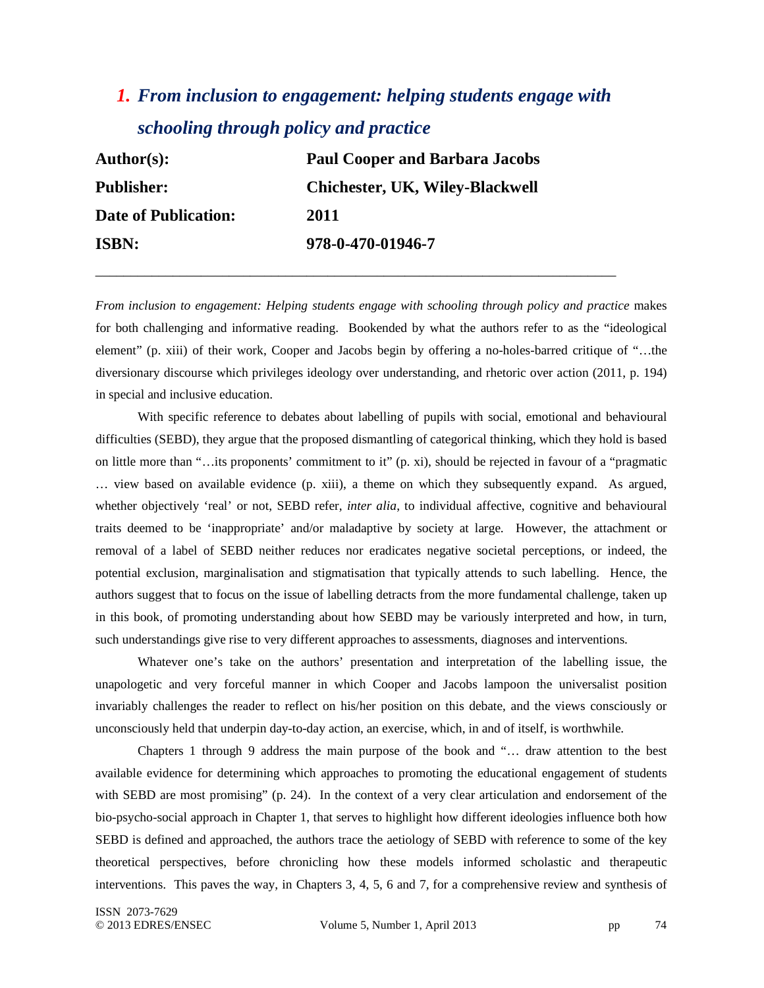# *1. From inclusion to engagement: helping students engage with schooling through policy and practice*

\_\_\_\_\_\_\_\_\_\_\_\_\_\_\_\_\_\_\_\_\_\_\_\_\_\_\_\_\_\_\_\_\_\_\_\_\_\_\_\_\_\_\_\_\_\_\_\_\_\_\_\_\_\_\_\_\_\_\_\_\_\_\_\_\_\_\_\_\_\_\_\_\_\_

| <b>Author(s):</b>           | <b>Paul Cooper and Barbara Jacobs</b>  |
|-----------------------------|----------------------------------------|
| <b>Publisher:</b>           | <b>Chichester, UK, Wiley-Blackwell</b> |
| <b>Date of Publication:</b> | 2011                                   |
| <b>ISBN:</b>                | 978-0-470-01946-7                      |

*From inclusion to engagement: Helping students engage with schooling through policy and practice* makes for both challenging and informative reading. Bookended by what the authors refer to as the "ideological element" (p. xiii) of their work, Cooper and Jacobs begin by offering a no-holes-barred critique of "…the diversionary discourse which privileges ideology over understanding, and rhetoric over action (2011, p. 194) in special and inclusive education.

With specific reference to debates about labelling of pupils with social, emotional and behavioural difficulties (SEBD), they argue that the proposed dismantling of categorical thinking, which they hold is based on little more than "…its proponents' commitment to it" (p. xi), should be rejected in favour of a "pragmatic … view based on available evidence (p. xiii), a theme on which they subsequently expand. As argued, whether objectively 'real' or not, SEBD refer, *inter alia*, to individual affective, cognitive and behavioural traits deemed to be 'inappropriate' and/or maladaptive by society at large. However, the attachment or removal of a label of SEBD neither reduces nor eradicates negative societal perceptions, or indeed, the potential exclusion, marginalisation and stigmatisation that typically attends to such labelling. Hence, the authors suggest that to focus on the issue of labelling detracts from the more fundamental challenge, taken up in this book, of promoting understanding about how SEBD may be variously interpreted and how, in turn, such understandings give rise to very different approaches to assessments, diagnoses and interventions.

Whatever one's take on the authors' presentation and interpretation of the labelling issue, the unapologetic and very forceful manner in which Cooper and Jacobs lampoon the universalist position invariably challenges the reader to reflect on his/her position on this debate, and the views consciously or unconsciously held that underpin day-to-day action, an exercise, which, in and of itself, is worthwhile.

Chapters 1 through 9 address the main purpose of the book and "… draw attention to the best available evidence for determining which approaches to promoting the educational engagement of students with SEBD are most promising" (p. 24). In the context of a very clear articulation and endorsement of the bio-psycho-social approach in Chapter 1, that serves to highlight how different ideologies influence both how SEBD is defined and approached, the authors trace the aetiology of SEBD with reference to some of the key theoretical perspectives, before chronicling how these models informed scholastic and therapeutic interventions. This paves the way, in Chapters 3, 4, 5, 6 and 7, for a comprehensive review and synthesis of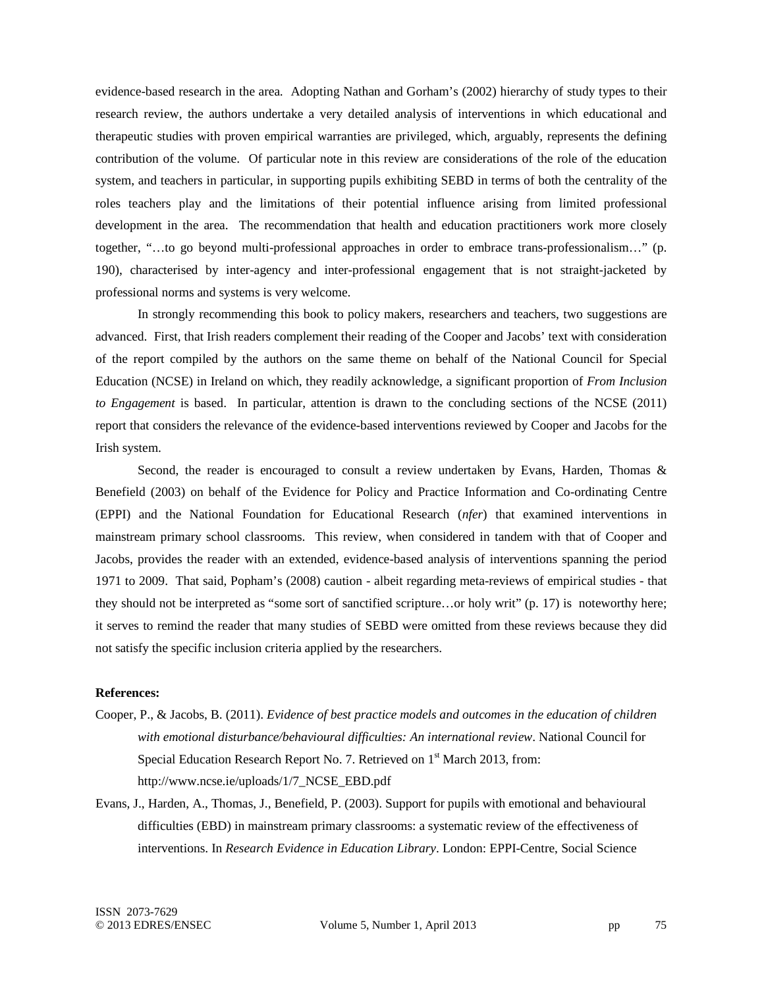evidence-based research in the area. Adopting Nathan and Gorham's (2002) hierarchy of study types to their research review, the authors undertake a very detailed analysis of interventions in which educational and therapeutic studies with proven empirical warranties are privileged, which, arguably, represents the defining contribution of the volume. Of particular note in this review are considerations of the role of the education system, and teachers in particular, in supporting pupils exhibiting SEBD in terms of both the centrality of the roles teachers play and the limitations of their potential influence arising from limited professional development in the area. The recommendation that health and education practitioners work more closely together, "…to go beyond multi-professional approaches in order to embrace trans-professionalism…" (p. 190), characterised by inter-agency and inter-professional engagement that is not straight-jacketed by professional norms and systems is very welcome.

In strongly recommending this book to policy makers, researchers and teachers, two suggestions are advanced. First, that Irish readers complement their reading of the Cooper and Jacobs' text with consideration of the report compiled by the authors on the same theme on behalf of the National Council for Special Education (NCSE) in Ireland on which, they readily acknowledge, a significant proportion of *From Inclusion to Engagement* is based. In particular, attention is drawn to the concluding sections of the NCSE (2011) report that considers the relevance of the evidence-based interventions reviewed by Cooper and Jacobs for the Irish system.

Second, the reader is encouraged to consult a review undertaken by Evans, Harden, Thomas & Benefield (2003) on behalf of the Evidence for Policy and Practice Information and Co-ordinating Centre (EPPI) and the National Foundation for Educational Research (*nfer*) that examined interventions in mainstream primary school classrooms. This review, when considered in tandem with that of Cooper and Jacobs, provides the reader with an extended, evidence-based analysis of interventions spanning the period 1971 to 2009. That said, Popham's (2008) caution - albeit regarding meta-reviews of empirical studies - that they should not be interpreted as "some sort of sanctified scripture…or holy writ" (p. 17) is noteworthy here; it serves to remind the reader that many studies of SEBD were omitted from these reviews because they did not satisfy the specific inclusion criteria applied by the researchers.

#### **References:**

- Cooper, P., & Jacobs, B. (2011). *Evidence of best practice models and outcomes in the education of children with emotional disturbance/behavioural difficulties: An international review*. National Council for Special Education Research Report No. 7. Retrieved on 1<sup>st</sup> March 2013, from: http://www.ncse.ie/uploads/1/7\_NCSE\_EBD.pdf
- Evans, J., Harden, A., Thomas, J., Benefield, P. (2003). Support for pupils with emotional and behavioural difficulties (EBD) in mainstream primary classrooms: a systematic review of the effectiveness of interventions. In *Research Evidence in Education Library*. London: EPPI-Centre, Social Science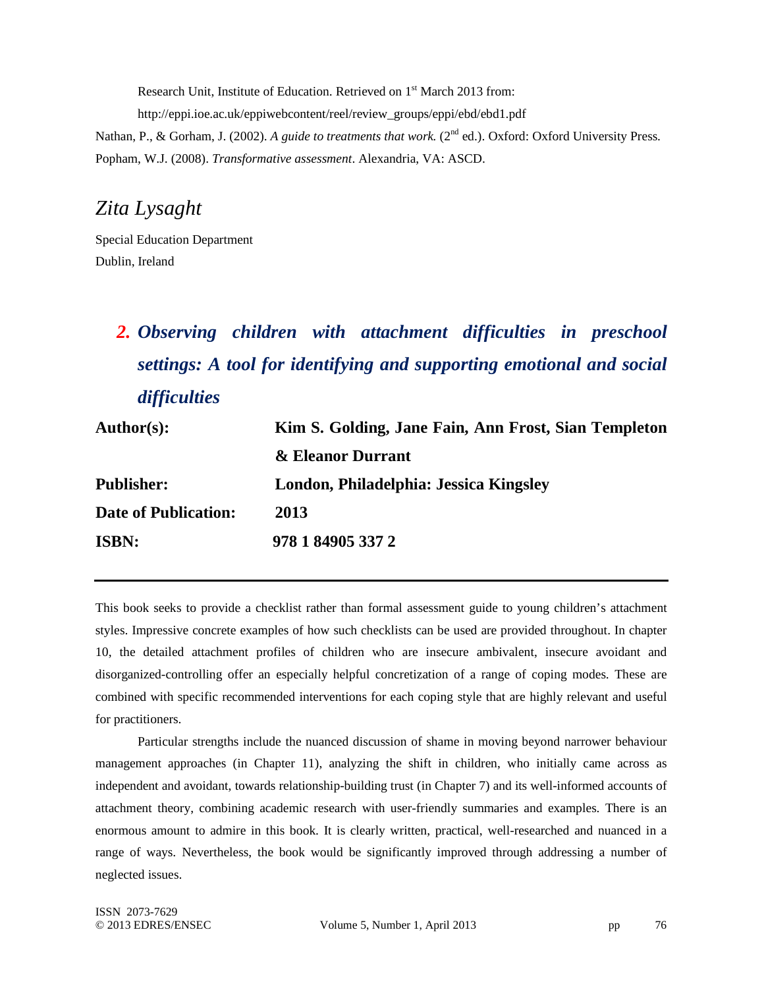Research Unit, Institute of Education. Retrieved on 1<sup>st</sup> March 2013 from: http://eppi.ioe.ac.uk/eppiwebcontent/reel/review\_groups/eppi/ebd/ebd1.pdf

Nathan, P., & Gorham, J. (2002). *A guide to treatments that work.* (2<sup>nd</sup> ed.). Oxford: Oxford University Press. Popham, W.J. (2008). *Transformative assessment*. Alexandria, VA: ASCD.

## *Zita Lysaght*

Special Education Department Dublin, Ireland

# *2. Observing children with attachment difficulties in preschool settings: A tool for identifying and supporting emotional and social difficulties*

| Author(s):                  | Kim S. Golding, Jane Fain, Ann Frost, Sian Templeton |  |
|-----------------------------|------------------------------------------------------|--|
|                             | & Eleanor Durrant                                    |  |
| <b>Publisher:</b>           | London, Philadelphia: Jessica Kingsley               |  |
| <b>Date of Publication:</b> | 2013                                                 |  |
| <b>ISBN:</b>                | 978 1 84905 337 2                                    |  |

This book seeks to provide a checklist rather than formal assessment guide to young children's attachment styles. Impressive concrete examples of how such checklists can be used are provided throughout. In chapter 10, the detailed attachment profiles of children who are insecure ambivalent, insecure avoidant and disorganized-controlling offer an especially helpful concretization of a range of coping modes. These are combined with specific recommended interventions for each coping style that are highly relevant and useful for practitioners.

Particular strengths include the nuanced discussion of shame in moving beyond narrower behaviour management approaches (in Chapter 11), analyzing the shift in children, who initially came across as independent and avoidant, towards relationship-building trust (in Chapter 7) and its well-informed accounts of attachment theory, combining academic research with user-friendly summaries and examples. There is an enormous amount to admire in this book. It is clearly written, practical, well-researched and nuanced in a range of ways. Nevertheless, the book would be significantly improved through addressing a number of neglected issues.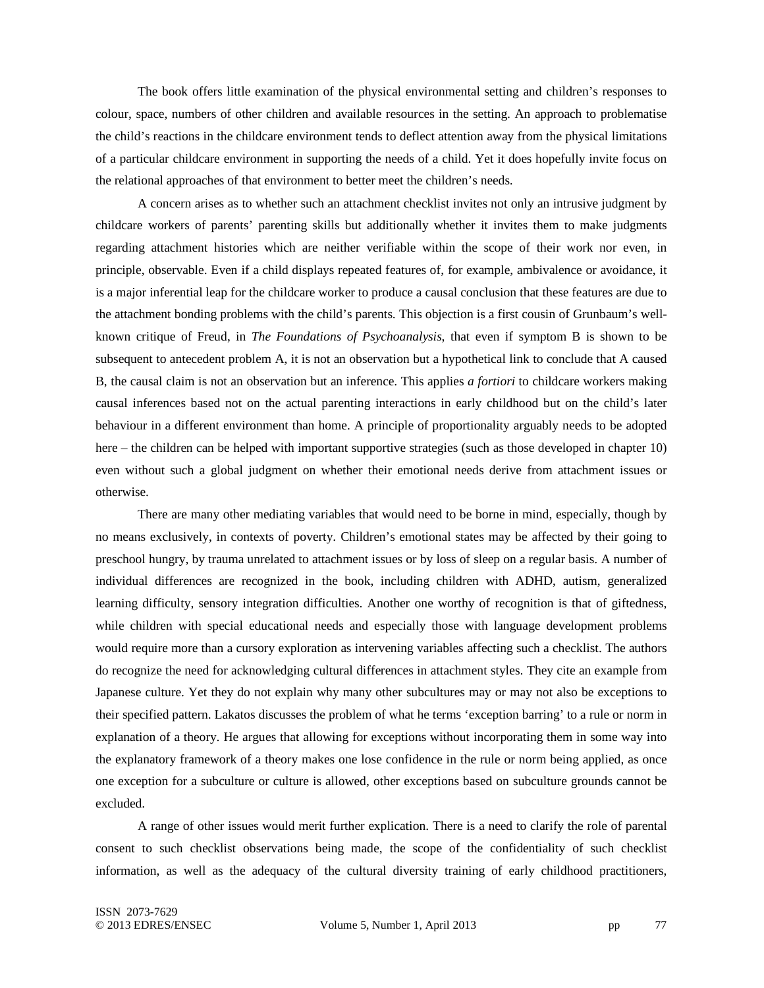The book offers little examination of the physical environmental setting and children's responses to colour, space, numbers of other children and available resources in the setting. An approach to problematise the child's reactions in the childcare environment tends to deflect attention away from the physical limitations of a particular childcare environment in supporting the needs of a child. Yet it does hopefully invite focus on the relational approaches of that environment to better meet the children's needs.

A concern arises as to whether such an attachment checklist invites not only an intrusive judgment by childcare workers of parents' parenting skills but additionally whether it invites them to make judgments regarding attachment histories which are neither verifiable within the scope of their work nor even, in principle, observable. Even if a child displays repeated features of, for example, ambivalence or avoidance, it is a major inferential leap for the childcare worker to produce a causal conclusion that these features are due to the attachment bonding problems with the child's parents. This objection is a first cousin of Grunbaum's wellknown critique of Freud, in *The Foundations of Psychoanalysis*, that even if symptom B is shown to be subsequent to antecedent problem A, it is not an observation but a hypothetical link to conclude that A caused B, the causal claim is not an observation but an inference. This applies *a fortiori* to childcare workers making causal inferences based not on the actual parenting interactions in early childhood but on the child's later behaviour in a different environment than home. A principle of proportionality arguably needs to be adopted here – the children can be helped with important supportive strategies (such as those developed in chapter 10) even without such a global judgment on whether their emotional needs derive from attachment issues or otherwise.

There are many other mediating variables that would need to be borne in mind, especially, though by no means exclusively, in contexts of poverty. Children's emotional states may be affected by their going to preschool hungry, by trauma unrelated to attachment issues or by loss of sleep on a regular basis. A number of individual differences are recognized in the book, including children with ADHD, autism, generalized learning difficulty, sensory integration difficulties. Another one worthy of recognition is that of giftedness, while children with special educational needs and especially those with language development problems would require more than a cursory exploration as intervening variables affecting such a checklist. The authors do recognize the need for acknowledging cultural differences in attachment styles. They cite an example from Japanese culture. Yet they do not explain why many other subcultures may or may not also be exceptions to their specified pattern. Lakatos discusses the problem of what he terms 'exception barring' to a rule or norm in explanation of a theory. He argues that allowing for exceptions without incorporating them in some way into the explanatory framework of a theory makes one lose confidence in the rule or norm being applied, as once one exception for a subculture or culture is allowed, other exceptions based on subculture grounds cannot be excluded.

A range of other issues would merit further explication. There is a need to clarify the role of parental consent to such checklist observations being made, the scope of the confidentiality of such checklist information, as well as the adequacy of the cultural diversity training of early childhood practitioners,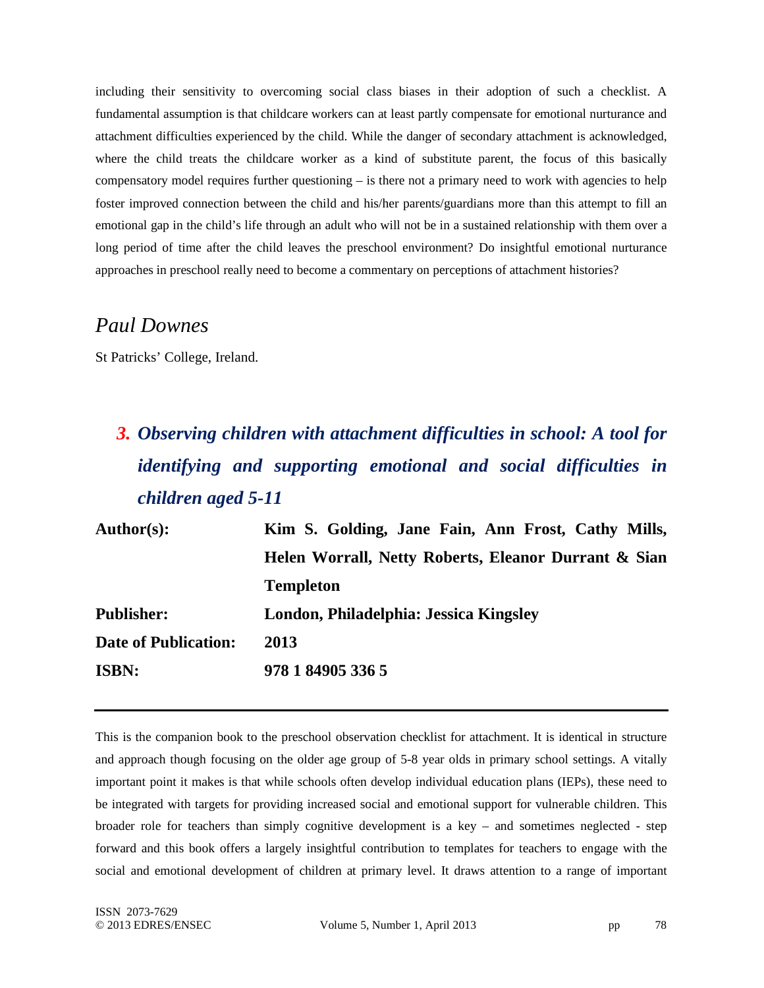including their sensitivity to overcoming social class biases in their adoption of such a checklist. A fundamental assumption is that childcare workers can at least partly compensate for emotional nurturance and attachment difficulties experienced by the child. While the danger of secondary attachment is acknowledged, where the child treats the childcare worker as a kind of substitute parent, the focus of this basically compensatory model requires further questioning – is there not a primary need to work with agencies to help foster improved connection between the child and his/her parents/guardians more than this attempt to fill an emotional gap in the child's life through an adult who will not be in a sustained relationship with them over a long period of time after the child leaves the preschool environment? Do insightful emotional nurturance approaches in preschool really need to become a commentary on perceptions of attachment histories?

### *Paul Downes*

St Patricks' College, Ireland.

# *3. Observing children with attachment difficulties in school: A tool for identifying and supporting emotional and social difficulties in children aged 5-11*

| Author(s):                  | Kim S. Golding, Jane Fain, Ann Frost, Cathy Mills,   |
|-----------------------------|------------------------------------------------------|
|                             | Helen Worrall, Netty Roberts, Eleanor Durrant & Sian |
|                             | <b>Templeton</b>                                     |
| <b>Publisher:</b>           | London, Philadelphia: Jessica Kingsley               |
| <b>Date of Publication:</b> | 2013                                                 |
| <b>ISBN:</b>                | 978 1 84905 336 5                                    |

This is the companion book to the preschool observation checklist for attachment. It is identical in structure and approach though focusing on the older age group of 5-8 year olds in primary school settings. A vitally important point it makes is that while schools often develop individual education plans (IEPs), these need to be integrated with targets for providing increased social and emotional support for vulnerable children. This broader role for teachers than simply cognitive development is a key – and sometimes neglected - step forward and this book offers a largely insightful contribution to templates for teachers to engage with the social and emotional development of children at primary level. It draws attention to a range of important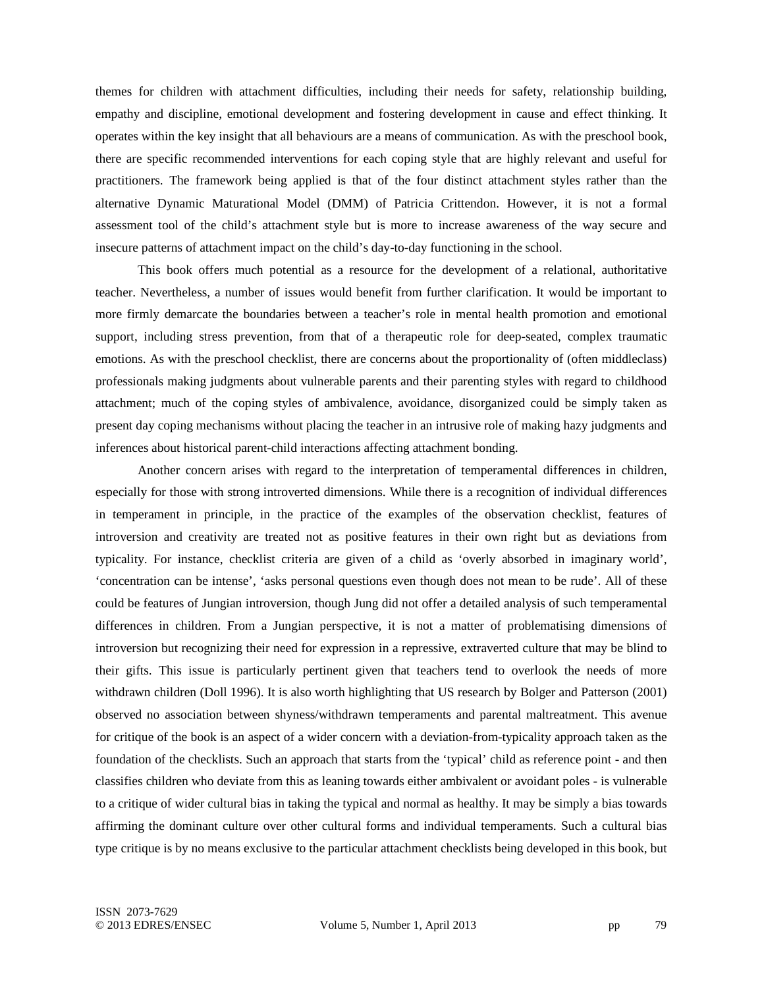themes for children with attachment difficulties, including their needs for safety, relationship building, empathy and discipline, emotional development and fostering development in cause and effect thinking. It operates within the key insight that all behaviours are a means of communication. As with the preschool book, there are specific recommended interventions for each coping style that are highly relevant and useful for practitioners. The framework being applied is that of the four distinct attachment styles rather than the alternative Dynamic Maturational Model (DMM) of Patricia Crittendon. However, it is not a formal assessment tool of the child's attachment style but is more to increase awareness of the way secure and insecure patterns of attachment impact on the child's day-to-day functioning in the school.

This book offers much potential as a resource for the development of a relational, authoritative teacher. Nevertheless, a number of issues would benefit from further clarification. It would be important to more firmly demarcate the boundaries between a teacher's role in mental health promotion and emotional support, including stress prevention, from that of a therapeutic role for deep-seated, complex traumatic emotions. As with the preschool checklist, there are concerns about the proportionality of (often middleclass) professionals making judgments about vulnerable parents and their parenting styles with regard to childhood attachment; much of the coping styles of ambivalence, avoidance, disorganized could be simply taken as present day coping mechanisms without placing the teacher in an intrusive role of making hazy judgments and inferences about historical parent-child interactions affecting attachment bonding.

Another concern arises with regard to the interpretation of temperamental differences in children, especially for those with strong introverted dimensions. While there is a recognition of individual differences in temperament in principle, in the practice of the examples of the observation checklist, features of introversion and creativity are treated not as positive features in their own right but as deviations from typicality. For instance, checklist criteria are given of a child as 'overly absorbed in imaginary world', 'concentration can be intense', 'asks personal questions even though does not mean to be rude'. All of these could be features of Jungian introversion, though Jung did not offer a detailed analysis of such temperamental differences in children. From a Jungian perspective, it is not a matter of problematising dimensions of introversion but recognizing their need for expression in a repressive, extraverted culture that may be blind to their gifts. This issue is particularly pertinent given that teachers tend to overlook the needs of more withdrawn children (Doll 1996). It is also worth highlighting that US research by Bolger and Patterson (2001) observed no association between shyness/withdrawn temperaments and parental maltreatment. This avenue for critique of the book is an aspect of a wider concern with a deviation-from-typicality approach taken as the foundation of the checklists. Such an approach that starts from the 'typical' child as reference point - and then classifies children who deviate from this as leaning towards either ambivalent or avoidant poles - is vulnerable to a critique of wider cultural bias in taking the typical and normal as healthy. It may be simply a bias towards affirming the dominant culture over other cultural forms and individual temperaments. Such a cultural bias type critique is by no means exclusive to the particular attachment checklists being developed in this book, but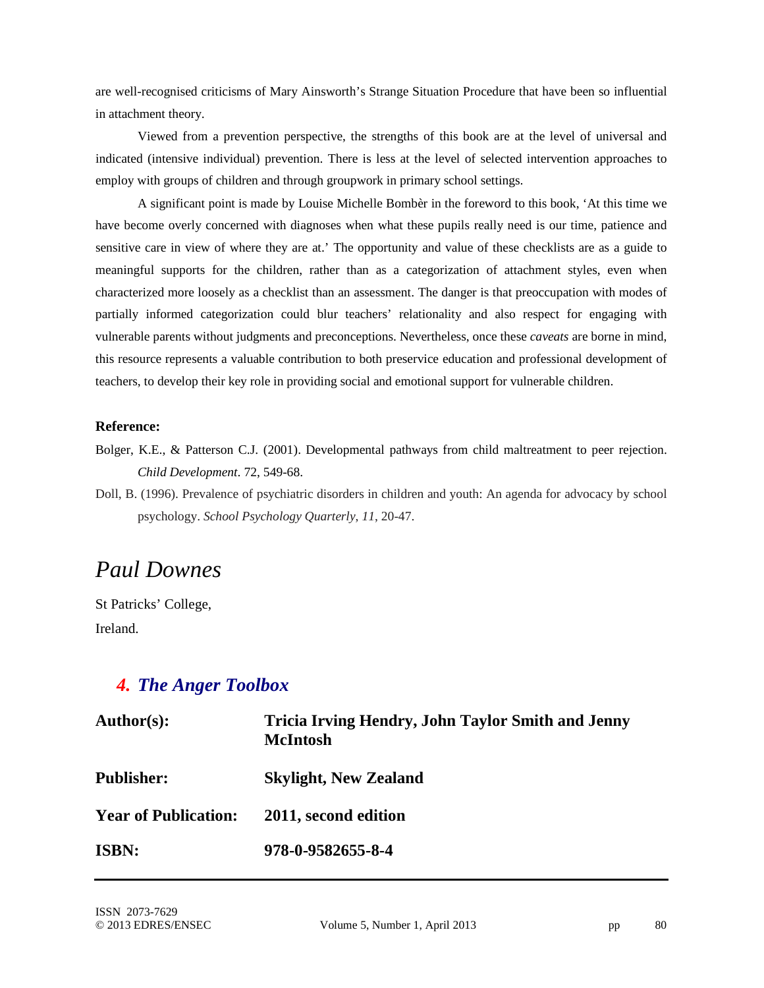are well-recognised criticisms of Mary Ainsworth's Strange Situation Procedure that have been so influential in attachment theory.

Viewed from a prevention perspective, the strengths of this book are at the level of universal and indicated (intensive individual) prevention. There is less at the level of selected intervention approaches to employ with groups of children and through groupwork in primary school settings.

A significant point is made by Louise Michelle Bombèr in the foreword to this book, 'At this time we have become overly concerned with diagnoses when what these pupils really need is our time, patience and sensitive care in view of where they are at.' The opportunity and value of these checklists are as a guide to meaningful supports for the children, rather than as a categorization of attachment styles, even when characterized more loosely as a checklist than an assessment. The danger is that preoccupation with modes of partially informed categorization could blur teachers' relationality and also respect for engaging with vulnerable parents without judgments and preconceptions. Nevertheless, once these *caveats* are borne in mind, this resource represents a valuable contribution to both preservice education and professional development of teachers, to develop their key role in providing social and emotional support for vulnerable children.

#### **Reference:**

- Bolger, K.E., & Patterson C.J. (2001). Developmental pathways from child maltreatment to peer rejection. *Child Development*. 72, 549-68.
- Doll, B. (1996). Prevalence of psychiatric disorders in children and youth: An agenda for advocacy by school psychology. *School Psychology Quarterly*, *11*, 20-47.

# *Paul Downes*

St Patricks' College, Ireland.

### *4. The Anger Toolbox*

| Author(s):                  | <b>Tricia Irving Hendry, John Taylor Smith and Jenny</b><br><b>McIntosh</b> |
|-----------------------------|-----------------------------------------------------------------------------|
| <b>Publisher:</b>           | <b>Skylight, New Zealand</b>                                                |
| <b>Year of Publication:</b> | 2011, second edition                                                        |
| <b>ISBN:</b>                | 978-0-9582655-8-4                                                           |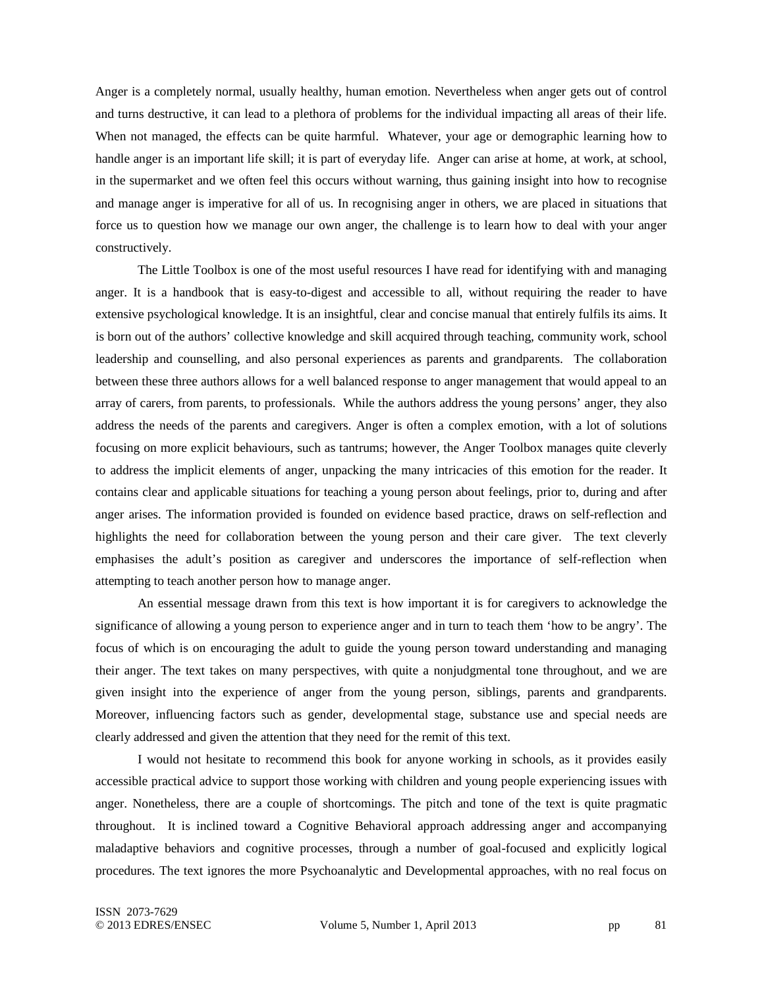Anger is a completely normal, usually healthy, human emotion. Nevertheless when anger gets out of control and turns destructive, it can lead to a plethora of problems for the individual impacting all areas of their life. When not managed, the effects can be quite harmful. Whatever, your age or demographic learning how to handle anger is an important life skill; it is part of everyday life. Anger can arise at home, at work, at school, in the supermarket and we often feel this occurs without warning, thus gaining insight into how to recognise and manage anger is imperative for all of us. In recognising anger in others, we are placed in situations that force us to question how we manage our own anger, the challenge is to learn how to deal with your anger constructively.

The Little Toolbox is one of the most useful resources I have read for identifying with and managing anger. It is a handbook that is easy-to-digest and accessible to all, without requiring the reader to have extensive psychological knowledge. It is an insightful, clear and concise manual that entirely fulfils its aims. It is born out of the authors' collective knowledge and skill acquired through teaching, community work, school leadership and counselling, and also personal experiences as parents and grandparents. The collaboration between these three authors allows for a well balanced response to anger management that would appeal to an array of carers, from parents, to professionals. While the authors address the young persons' anger, they also address the needs of the parents and caregivers. Anger is often a complex emotion, with a lot of solutions focusing on more explicit behaviours, such as tantrums; however, the Anger Toolbox manages quite cleverly to address the implicit elements of anger, unpacking the many intricacies of this emotion for the reader. It contains clear and applicable situations for teaching a young person about feelings, prior to, during and after anger arises. The information provided is founded on evidence based practice, draws on self-reflection and highlights the need for collaboration between the young person and their care giver. The text cleverly emphasises the adult's position as caregiver and underscores the importance of self-reflection when attempting to teach another person how to manage anger.

An essential message drawn from this text is how important it is for caregivers to acknowledge the significance of allowing a young person to experience anger and in turn to teach them 'how to be angry'. The focus of which is on encouraging the adult to guide the young person toward understanding and managing their anger. The text takes on many perspectives, with quite a nonjudgmental tone throughout, and we are given insight into the experience of anger from the young person, siblings, parents and grandparents. Moreover, influencing factors such as gender, developmental stage, substance use and special needs are clearly addressed and given the attention that they need for the remit of this text.

I would not hesitate to recommend this book for anyone working in schools, as it provides easily accessible practical advice to support those working with children and young people experiencing issues with anger. Nonetheless, there are a couple of shortcomings. The pitch and tone of the text is quite pragmatic throughout. It is inclined toward a Cognitive Behavioral approach addressing anger and accompanying maladaptive behaviors and cognitive processes, through a number of goal-focused and explicitly logical procedures. The text ignores the more Psychoanalytic and Developmental approaches, with no real focus on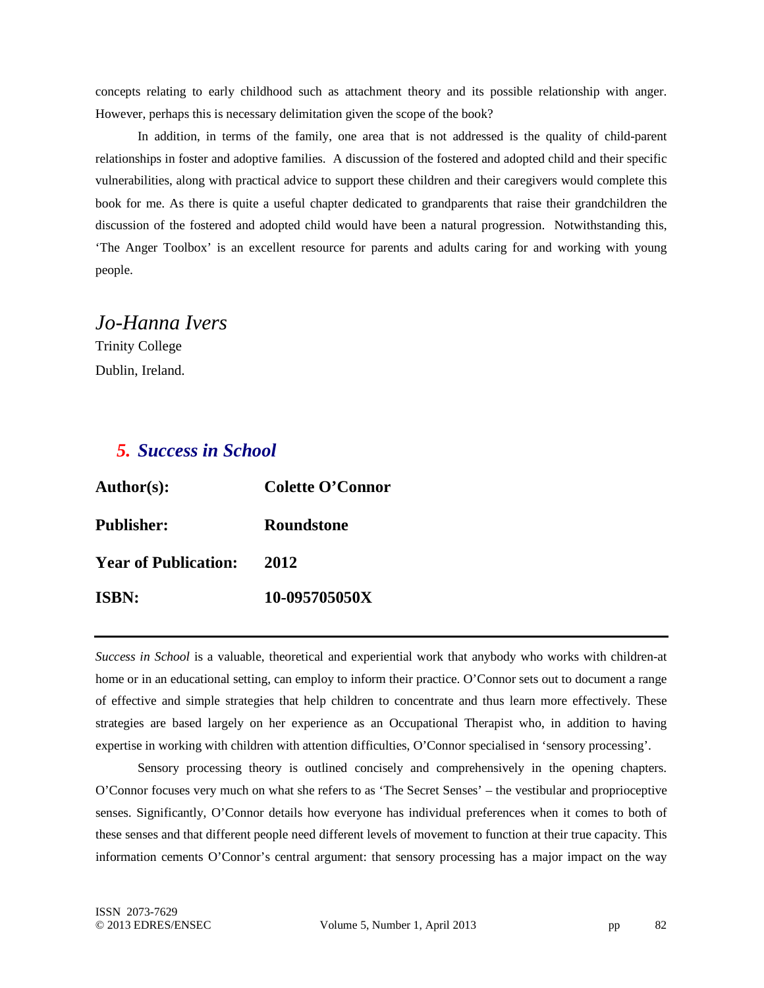concepts relating to early childhood such as attachment theory and its possible relationship with anger. However, perhaps this is necessary delimitation given the scope of the book?

In addition, in terms of the family, one area that is not addressed is the quality of child-parent relationships in foster and adoptive families. A discussion of the fostered and adopted child and their specific vulnerabilities, along with practical advice to support these children and their caregivers would complete this book for me. As there is quite a useful chapter dedicated to grandparents that raise their grandchildren the discussion of the fostered and adopted child would have been a natural progression. Notwithstanding this, 'The Anger Toolbox' is an excellent resource for parents and adults caring for and working with young people.

### *Jo-Hanna Ivers*

Trinity College Dublin, Ireland.

### *5. Success in School*

| <b>Author(s):</b>           | <b>Colette O'Connor</b> |
|-----------------------------|-------------------------|
| <b>Publisher:</b>           | Roundstone              |
| <b>Year of Publication:</b> | 2012                    |
| <b>ISBN:</b>                | 10-095705050X           |

*Success in School* is a valuable, theoretical and experiential work that anybody who works with children-at home or in an educational setting, can employ to inform their practice. O'Connor sets out to document a range of effective and simple strategies that help children to concentrate and thus learn more effectively. These strategies are based largely on her experience as an Occupational Therapist who, in addition to having expertise in working with children with attention difficulties, O'Connor specialised in 'sensory processing'.

Sensory processing theory is outlined concisely and comprehensively in the opening chapters. O'Connor focuses very much on what she refers to as 'The Secret Senses' – the vestibular and proprioceptive senses. Significantly, O'Connor details how everyone has individual preferences when it comes to both of these senses and that different people need different levels of movement to function at their true capacity. This information cements O'Connor's central argument: that sensory processing has a major impact on the way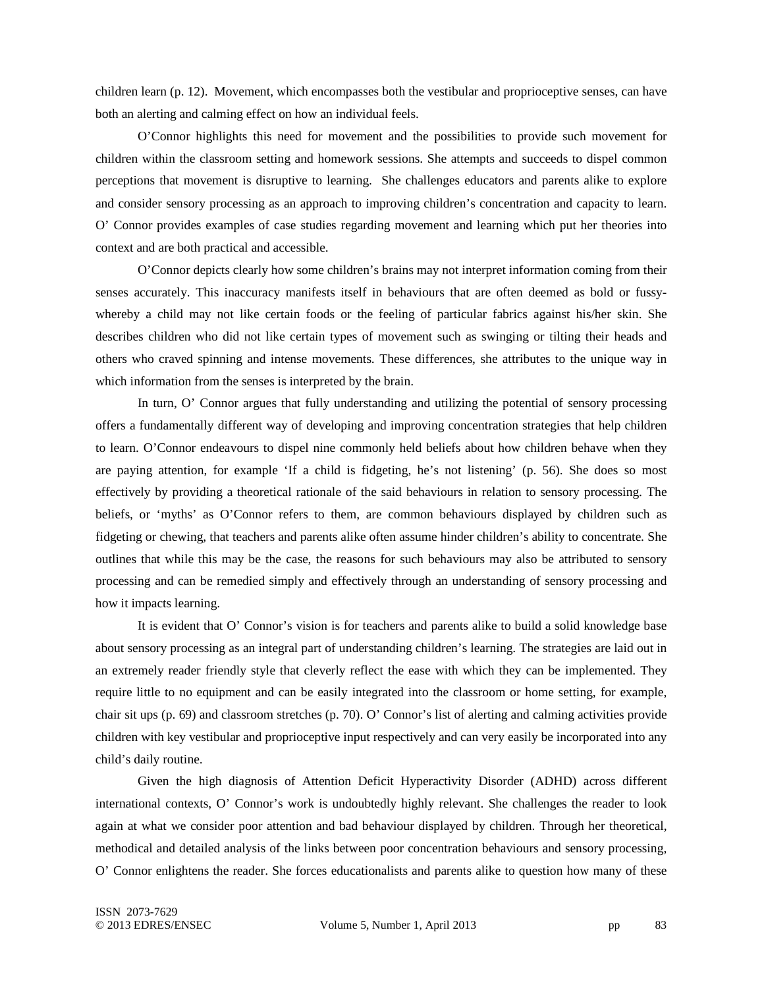children learn (p. 12). Movement, which encompasses both the vestibular and proprioceptive senses, can have both an alerting and calming effect on how an individual feels.

O'Connor highlights this need for movement and the possibilities to provide such movement for children within the classroom setting and homework sessions. She attempts and succeeds to dispel common perceptions that movement is disruptive to learning. She challenges educators and parents alike to explore and consider sensory processing as an approach to improving children's concentration and capacity to learn. O' Connor provides examples of case studies regarding movement and learning which put her theories into context and are both practical and accessible.

O'Connor depicts clearly how some children's brains may not interpret information coming from their senses accurately. This inaccuracy manifests itself in behaviours that are often deemed as bold or fussywhereby a child may not like certain foods or the feeling of particular fabrics against his/her skin. She describes children who did not like certain types of movement such as swinging or tilting their heads and others who craved spinning and intense movements. These differences, she attributes to the unique way in which information from the senses is interpreted by the brain.

In turn, O' Connor argues that fully understanding and utilizing the potential of sensory processing offers a fundamentally different way of developing and improving concentration strategies that help children to learn. O'Connor endeavours to dispel nine commonly held beliefs about how children behave when they are paying attention, for example 'If a child is fidgeting, he's not listening' (p. 56). She does so most effectively by providing a theoretical rationale of the said behaviours in relation to sensory processing. The beliefs, or 'myths' as O'Connor refers to them, are common behaviours displayed by children such as fidgeting or chewing, that teachers and parents alike often assume hinder children's ability to concentrate. She outlines that while this may be the case, the reasons for such behaviours may also be attributed to sensory processing and can be remedied simply and effectively through an understanding of sensory processing and how it impacts learning.

It is evident that O' Connor's vision is for teachers and parents alike to build a solid knowledge base about sensory processing as an integral part of understanding children's learning. The strategies are laid out in an extremely reader friendly style that cleverly reflect the ease with which they can be implemented. They require little to no equipment and can be easily integrated into the classroom or home setting, for example, chair sit ups (p. 69) and classroom stretches (p. 70). O' Connor's list of alerting and calming activities provide children with key vestibular and proprioceptive input respectively and can very easily be incorporated into any child's daily routine.

Given the high diagnosis of Attention Deficit Hyperactivity Disorder (ADHD) across different international contexts, O' Connor's work is undoubtedly highly relevant. She challenges the reader to look again at what we consider poor attention and bad behaviour displayed by children. Through her theoretical, methodical and detailed analysis of the links between poor concentration behaviours and sensory processing, O' Connor enlightens the reader. She forces educationalists and parents alike to question how many of these